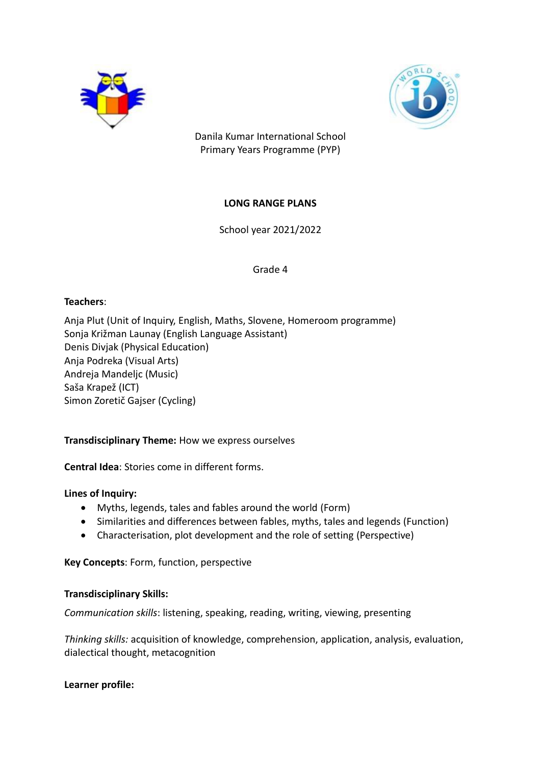



Danila Kumar International School Primary Years Programme (PYP)

# **LONG RANGE PLANS**

School year 2021/2022

Grade 4

### **Teachers**:

Anja Plut (Unit of Inquiry, English, Maths, Slovene, Homeroom programme) Sonja Križman Launay (English Language Assistant) Denis Divjak (Physical Education) Anja Podreka (Visual Arts) Andreja Mandeljc (Music) Saša Krapež (ICT) Simon Zoretič Gajser (Cycling)

## **Transdisciplinary Theme:** How we express ourselves

**Central Idea**: Stories come in different forms.

#### **Lines of Inquiry:**

- Myths, legends, tales and fables around the world (Form)
- Similarities and differences between fables, myths, tales and legends (Function)
- Characterisation, plot development and the role of setting (Perspective)

**Key Concepts**: Form, function, perspective

#### **Transdisciplinary Skills:**

*Communication skills*: listening, speaking, reading, writing, viewing, presenting

*Thinking skills:* acquisition of knowledge, comprehension, application, analysis, evaluation, dialectical thought, metacognition

#### **Learner profile:**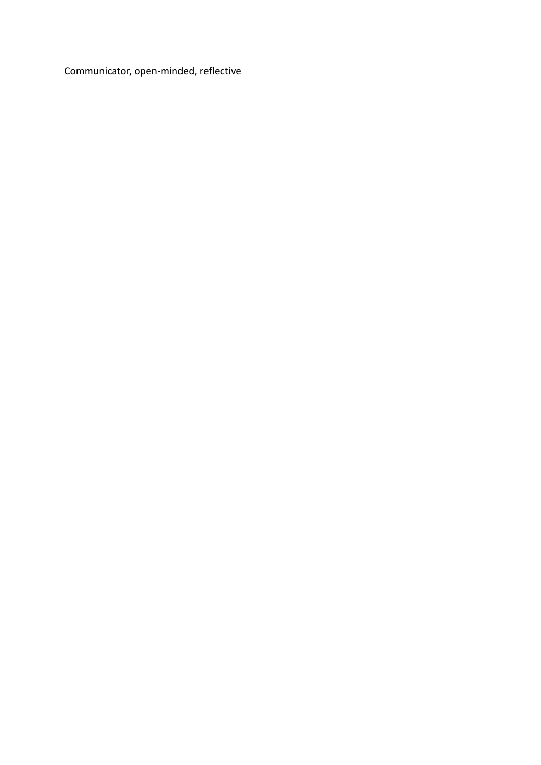Communicator, open-minded, reflective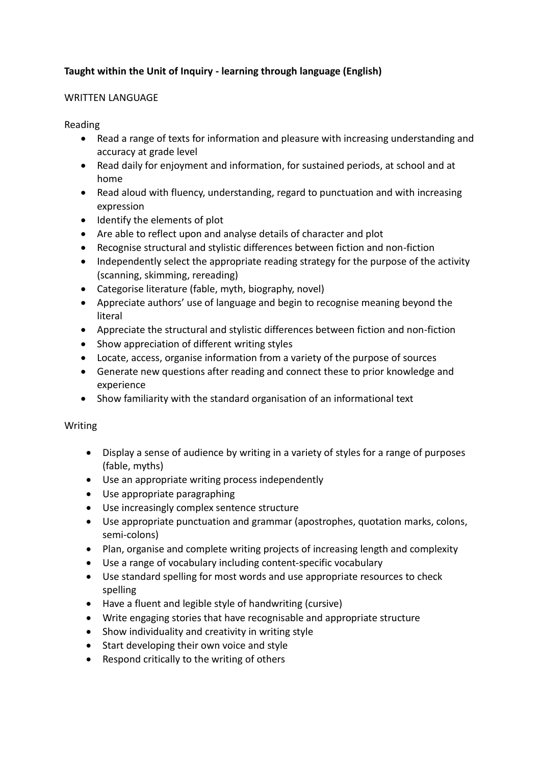# **Taught within the Unit of Inquiry - learning through language (English)**

### WRITTEN LANGUAGE

### Reading

- Read a range of texts for information and pleasure with increasing understanding and accuracy at grade level
- Read daily for enjoyment and information, for sustained periods, at school and at home
- Read aloud with fluency, understanding, regard to punctuation and with increasing expression
- Identify the elements of plot
- Are able to reflect upon and analyse details of character and plot
- Recognise structural and stylistic differences between fiction and non-fiction
- Independently select the appropriate reading strategy for the purpose of the activity (scanning, skimming, rereading)
- Categorise literature (fable, myth, biography, novel)
- Appreciate authors' use of language and begin to recognise meaning beyond the literal
- Appreciate the structural and stylistic differences between fiction and non-fiction
- Show appreciation of different writing styles
- Locate, access, organise information from a variety of the purpose of sources
- Generate new questions after reading and connect these to prior knowledge and experience
- Show familiarity with the standard organisation of an informational text

## Writing

- Display a sense of audience by writing in a variety of styles for a range of purposes (fable, myths)
- Use an appropriate writing process independently
- Use appropriate paragraphing
- Use increasingly complex sentence structure
- Use appropriate punctuation and grammar (apostrophes, quotation marks, colons, semi-colons)
- Plan, organise and complete writing projects of increasing length and complexity
- Use a range of vocabulary including content-specific vocabulary
- Use standard spelling for most words and use appropriate resources to check spelling
- Have a fluent and legible style of handwriting (cursive)
- Write engaging stories that have recognisable and appropriate structure
- Show individuality and creativity in writing style
- Start developing their own voice and style
- Respond critically to the writing of others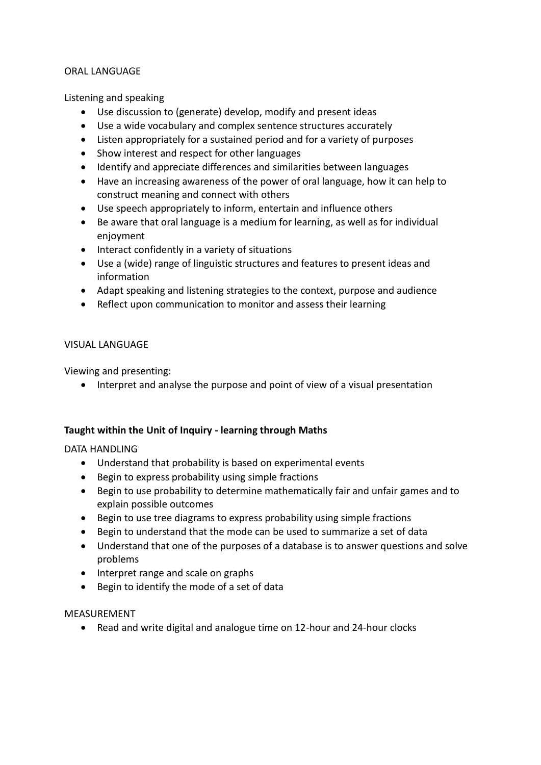#### ORAL LANGUAGE

Listening and speaking

- Use discussion to (generate) develop, modify and present ideas
- Use a wide vocabulary and complex sentence structures accurately
- Listen appropriately for a sustained period and for a variety of purposes
- Show interest and respect for other languages
- Identify and appreciate differences and similarities between languages
- Have an increasing awareness of the power of oral language, how it can help to construct meaning and connect with others
- Use speech appropriately to inform, entertain and influence others
- Be aware that oral language is a medium for learning, as well as for individual enjoyment
- Interact confidently in a variety of situations
- Use a (wide) range of linguistic structures and features to present ideas and information
- Adapt speaking and listening strategies to the context, purpose and audience
- Reflect upon communication to monitor and assess their learning

### VISUAL LANGUAGE

Viewing and presenting:

Interpret and analyse the purpose and point of view of a visual presentation

## **Taught within the Unit of Inquiry - learning through Maths**

DATA HANDLING

- Understand that probability is based on experimental events
- Begin to express probability using simple fractions
- Begin to use probability to determine mathematically fair and unfair games and to explain possible outcomes
- Begin to use tree diagrams to express probability using simple fractions
- Begin to understand that the mode can be used to summarize a set of data
- Understand that one of the purposes of a database is to answer questions and solve problems
- Interpret range and scale on graphs
- Begin to identify the mode of a set of data

#### MEASUREMENT

Read and write digital and analogue time on 12-hour and 24-hour clocks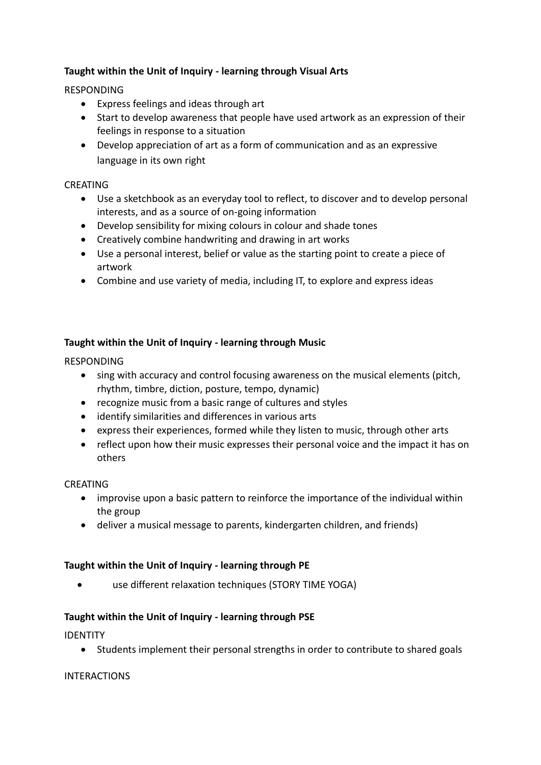# **Taught within the Unit of Inquiry - learning through Visual Arts**

### RESPONDING

- Express feelings and ideas through art
- Start to develop awareness that people have used artwork as an expression of their feelings in response to a situation
- Develop appreciation of art as a form of communication and as an expressive language in its own right

### CREATING

- Use a sketchbook as an everyday tool to reflect, to discover and to develop personal interests, and as a source of on-going information
- Develop sensibility for mixing colours in colour and shade tones
- Creatively combine handwriting and drawing in art works
- Use a personal interest, belief or value as the starting point to create a piece of artwork
- Combine and use variety of media, including IT, to explore and express ideas

## **Taught within the Unit of Inquiry - learning through Music**

#### RESPONDING

- sing with accuracy and control focusing awareness on the musical elements (pitch, rhythm, timbre, diction, posture, tempo, dynamic)
- recognize music from a basic range of cultures and styles
- identify similarities and differences in various arts
- express their experiences, formed while they listen to music, through other arts
- reflect upon how their music expresses their personal voice and the impact it has on others

#### CREATING

- improvise upon a basic pattern to reinforce the importance of the individual within the group
- deliver a musical message to parents, kindergarten children, and friends)

## **Taught within the Unit of Inquiry - learning through PE**

use different relaxation techniques (STORY TIME YOGA)

## **Taught within the Unit of Inquiry - learning through PSE**

IDENTITY

Students implement their personal strengths in order to contribute to shared goals

#### **INTERACTIONS**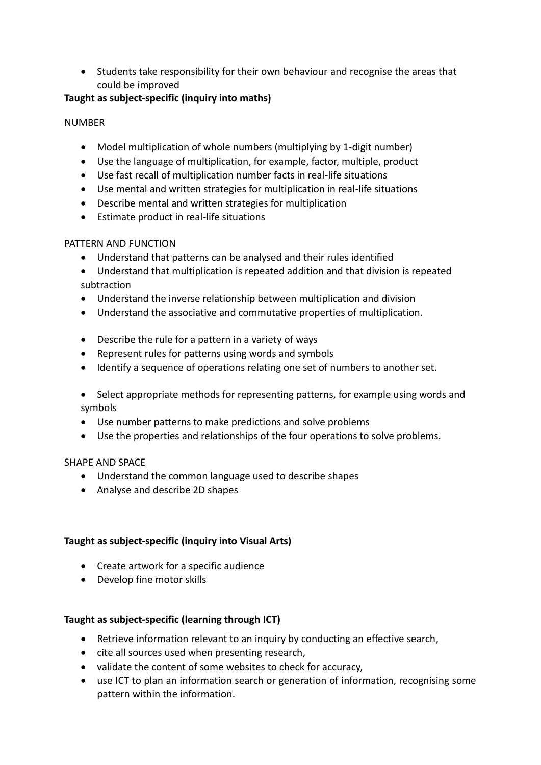Students take responsibility for their own behaviour and recognise the areas that could be improved

# **Taught as subject-specific (inquiry into maths)**

# NUMBER

- Model multiplication of whole numbers (multiplying by 1-digit number)
- Use the language of multiplication, for example, factor, multiple, product
- Use fast recall of multiplication number facts in real-life situations
- Use mental and written strategies for multiplication in real-life situations
- Describe mental and written strategies for multiplication
- Estimate product in real-life situations

# PATTERN AND FUNCTION

- Understand that patterns can be analysed and their rules identified
- Understand that multiplication is repeated addition and that division is repeated subtraction
- Understand the inverse relationship between multiplication and division
- Understand the associative and commutative properties of multiplication.
- Describe the rule for a pattern in a variety of ways
- Represent rules for patterns using words and symbols
- Identify a sequence of operations relating one set of numbers to another set.
- Select appropriate methods for representing patterns, for example using words and symbols
- Use number patterns to make predictions and solve problems
- Use the properties and relationships of the four operations to solve problems.

# SHAPE AND SPACE

- Understand the common language used to describe shapes
- Analyse and describe 2D shapes

# **Taught as subject-specific (inquiry into Visual Arts)**

- Create artwork for a specific audience
- Develop fine motor skills

# **Taught as subject-specific (learning through ICT)**

- Retrieve information relevant to an inquiry by conducting an effective search,
- cite all sources used when presenting research,
- validate the content of some websites to check for accuracy,
- use ICT to plan an information search or generation of information, recognising some pattern within the information.